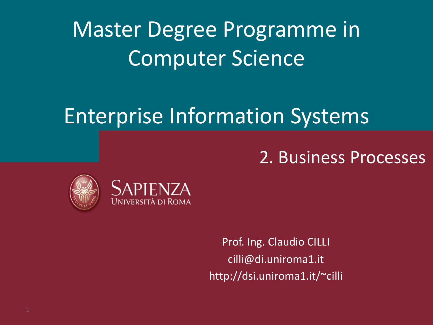# Master Degree Programme in Computer Science

# Enterprise Information Systems

### 2. Business Processes





Prof. Ing. Claudio CILLI cilli@di.uniroma1.it http://dsi.uniroma1.it/~cilli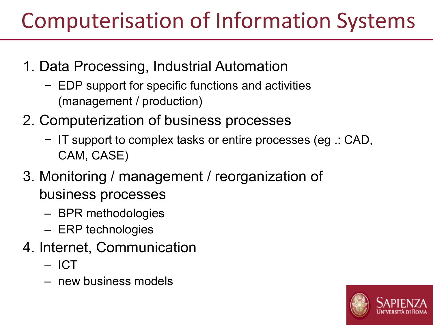# Computerisation of Information Systems

- 1. Data Processing, Industrial Automation
	- − EDP support for specific functions and activities (management / production)
- 2. Computerization of business processes
	- − IT support to complex tasks or entire processes (eg .: CAD, CAM, CASE)
- 3. Monitoring / management / reorganization of business processes
	- BPR methodologies
	- ERP technologies
- 4. Internet, Communication
	- ICT
	- new business models

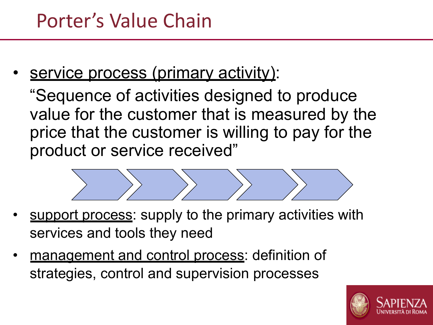service process (primary activity):

"Sequence of activities designed to produce value for the customer that is measured by the price that the customer is willing to pay for the product or service received"



- support process: supply to the primary activities with services and tools they need
- management and control process: definition of strategies, control and supervision processes

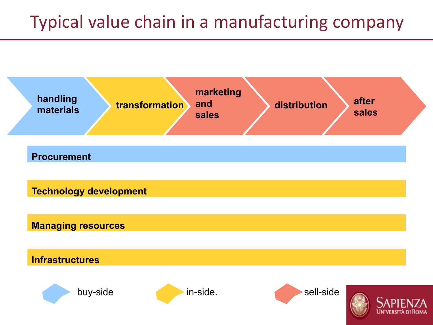### Typical value chain in a manufacturing company

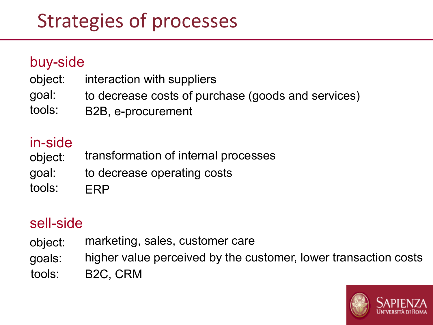## Strategies of processes

#### buy-side

- object: interaction with suppliers
- goal: to decrease costs of purchase (goods and services)
- tools: B2B, e-procurement

### in-side

- object: transformation of internal processes
- goal: to decrease operating costs
- tools: ERP

### sell-side

- object: marketing, sales, customer care
- goals: higher value perceived by the customer, lower transaction costs
- tools: B2C, CRM

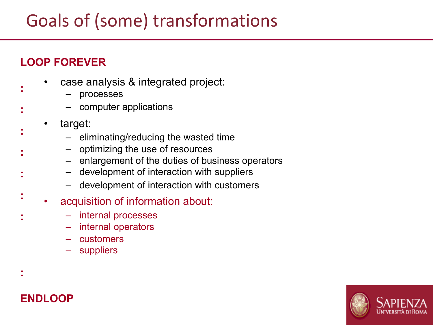### Goals of (some) transformations

#### **LOOP FOREVER**

**:**

**:**

**:**

**:**

**:**

**:**

**:**

**:**

- case analysis & integrated project:
	- processes
	- computer applications
- target:
	- eliminating/reducing the wasted time
	- optimizing the use of resources
	- enlargement of the duties of business operators
	- development of interaction with suppliers
	- development of interaction with customers
- acquisition of information about:
	- internal processes
	- internal operators
	- customers
	- **suppliers**

#### **ENDLOOP**

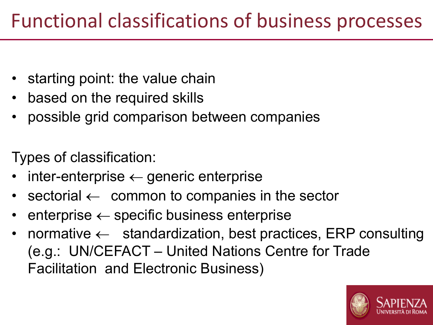- starting point: the value chain
- based on the required skills
- possible grid comparison between companies

Types of classification:

- $inter-enterprise \leftarrow generic enterprise$
- sectorial  $\leftarrow$  common to companies in the sector
- enterprise  $\leftarrow$  specific business enterprise
- normative  $\leftarrow$  standardization, best practices, ERP consulting (e.g.: UN/CEFACT – United Nations Centre for Trade Facilitation and Electronic Business)

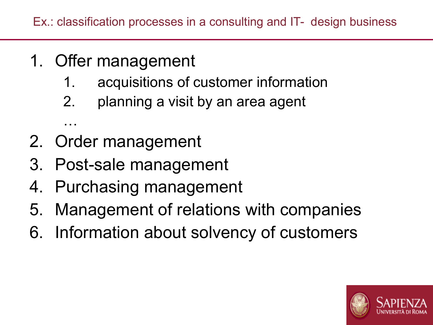- 1. Offer management
	- 1. acquisitions of customer information
	- 2. planning a visit by an area agent
- 2. Order management

…

- 3. Post-sale management
- 4. Purchasing management
- 5. Management of relations with companies
- 6. Information about solvency of customers

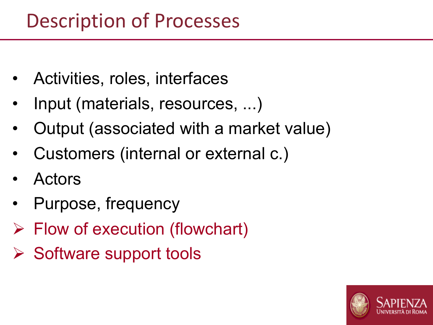- Activities, roles, interfaces
- Input (materials, resources, ...)
- Output (associated with a market value)
- Customers (internal or external c.)
- Actors
- Purpose, frequency
- $\triangleright$  Flow of execution (flowchart)
- $\triangleright$  Software support tools

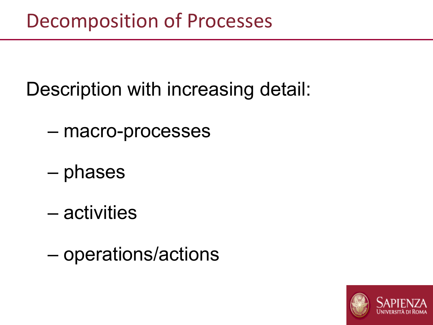### Decomposition of Processes

Description with increasing detail:

- macro-processes
- phases
- activities
- operations/actions

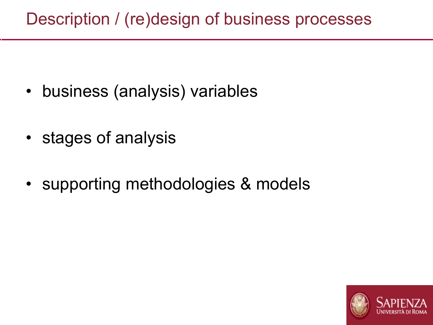### Description / (re)design of business processes

- business (analysis) variables
- stages of analysis

t

• supporting methodologies & models

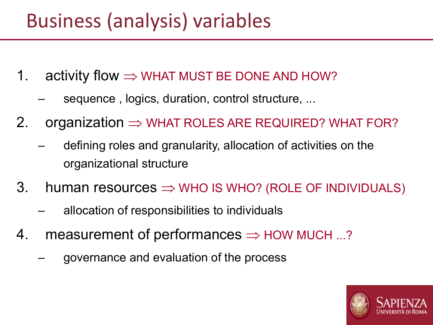### Business (analysis) variables

- 1. activity flow  $\Rightarrow$  WHAT MUST BE DONE AND HOW?
	- sequence, logics, duration, control structure, ...
- 2. organization  $\Rightarrow$  WHAT ROLES ARE REQUIRED? WHAT FOR?
	- defining roles and granularity, allocation of activities on the organizational structure
- 3. human resources  $\Rightarrow$  WHO IS WHO? (ROLE OF INDIVIDUALS)
	- allocation of responsibilities to individuals
- 4. measurement of performances  $\Rightarrow$  HOW MUCH ...?
	- governance and evaluation of the process

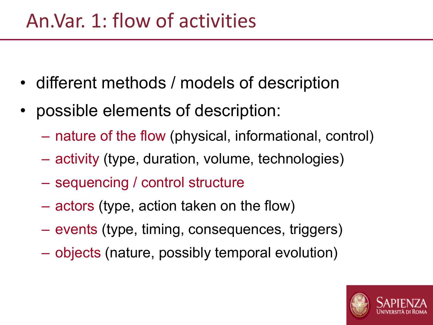### An.Var. 1: flow of activities

- different methods / models of description
- possible elements of description:
	- nature of the flow (physical, informational, control)
	- activity (type, duration, volume, technologies)
	- sequencing / control structure
	- actors (type, action taken on the flow)
	- events (type, timing, consequences, triggers)
	- objects (nature, possibly temporal evolution)

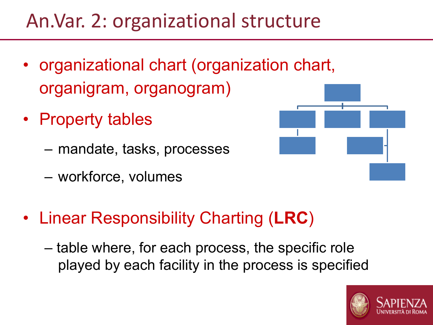### An.Var. 2: organizational structure

- organizational chart (organization chart, organigram, organogram)
- Property tables
	- mandate, tasks, processes
	- workforce, volumes



- Linear Responsibility Charting (**LRC**)
	- table where, for each process, the specific role played by each facility in the process is specified

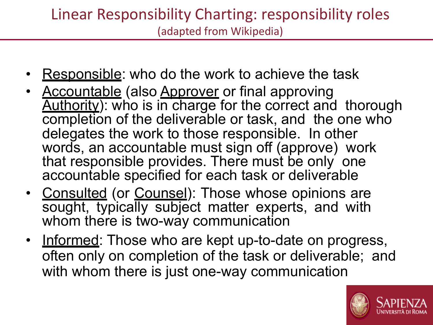### Linear Responsibility Charting: responsibility roles (adapted from Wikipedia)

- **Responsible:** who do the work to achieve the task
- Accountable (also Approver or final approving Authority): who is in charge for the correct and thorough completion of the deliverable or task, and the one who delegates the work to those responsible. In other words, an accountable must sign off (approve) work that responsible provides. There must be only one accountable specified for each task or deliverable
- Consulted (or Counsel): Those whose opinions are sought, typically subject matter experts, and with whom there is two-way communication
- Informed: Those who are kept up-to-date on progress, often only on completion of the task or deliverable; and with whom there is just one-way communication

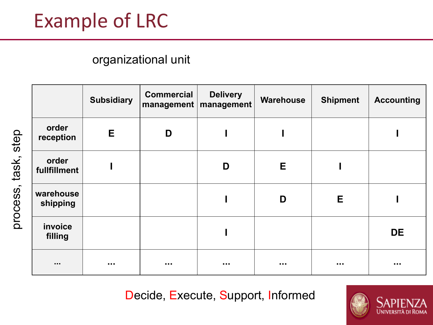### Example of LRC

#### organizational unit

|                       | <b>Subsidiary</b> | <b>Commercial</b> | <b>Delivery</b><br>management   management | Warehouse   | <b>Shipment</b> | <b>Accounting</b> |
|-----------------------|-------------------|-------------------|--------------------------------------------|-------------|-----------------|-------------------|
| order<br>reception    | E                 | D                 |                                            |             |                 |                   |
| order<br>fullfillment |                   |                   | D                                          | E           |                 |                   |
| warehouse<br>shipping |                   |                   |                                            | D           | Е               |                   |
| invoice<br>filling    |                   |                   |                                            |             |                 | <b>DE</b>         |
| $\sim 0.00$           | $\sim 0.00$       |                   | $\sim$ 0.0 $\pm$                           | $\sim 0.00$ | $\sim 0.01$     | $\sim 0.00$       |

Decide, Execute, Support, Informed



process, task, step process, task, step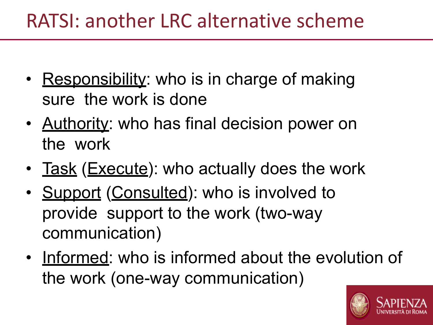### RATSI: another LRC alternative scheme

- Responsibility: who is in charge of making sure the work is done
- Authority: who has final decision power on the work
- Task (Execute): who actually does the work
- Support (Consulted): who is involved to provide support to the work (two-way communication)
- Informed: who is informed about the evolution of the work (one-way communication)

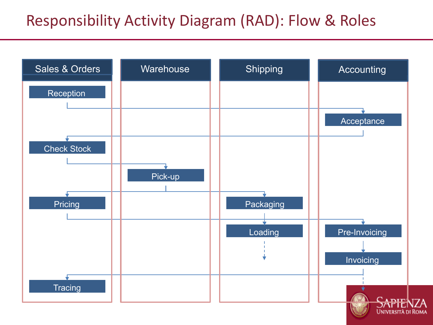### Responsibility Activity Diagram (RAD): Flow & Roles

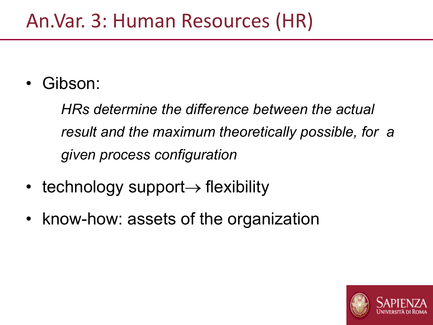### An.Var. 3: Human Resources (HR)

Gibson:

*HRs determine the difference between the actual result and the maximum theoretically possible, for a given process configuration*

- technology support $\rightarrow$  flexibility
- know-how: assets of the organization

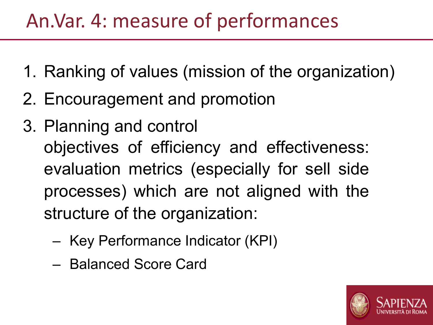### An.Var. 4: measure of performances

- 1. Ranking of values (mission of the organization)
- 2. Encouragement and promotion
- 3. Planning and control objectives of efficiency and effectiveness: evaluation metrics (especially for sell side processes) which are not aligned with the structure of the organization:
	- Key Performance Indicator (KPI)
	- Balanced Score Card

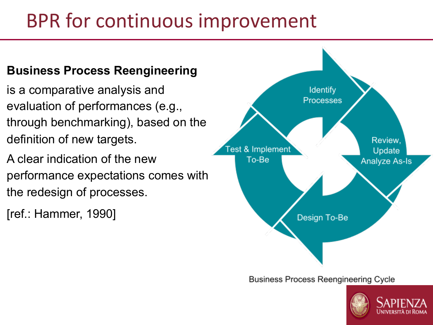## BPR for continuous improvement

#### **Business Process Reengineering**

- is a comparative analysis and evaluation of performances (e.g., through benchmarking), based on the definition of new targets.
- A clear indication of the new performance expectations comes with the redesign of processes.
- [ref.: Hammer, 1990]



**Business Process Reengineering Cycle** 

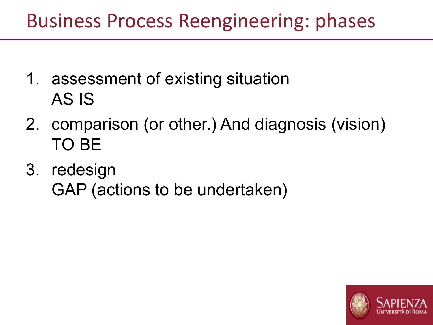### Business Process Reengineering: phases

- 1. assessment of existing situation AS IS
- 2. comparison (or other.) And diagnosis (vision) TO BE
- 3. redesign GAP (actions to be undertaken)

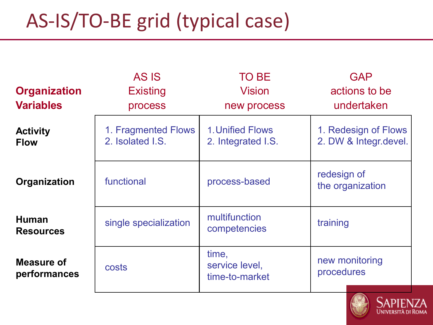# AS-IS/TO-BE grid (typical case)

|                                  | AS IS                                   | <b>TO BE</b>                              | <b>GAP</b>                                    |
|----------------------------------|-----------------------------------------|-------------------------------------------|-----------------------------------------------|
| <b>Organization</b>              | <b>Existing</b>                         | <b>Vision</b>                             | actions to be                                 |
| <b>Variables</b>                 | process                                 | new process                               | undertaken                                    |
| <b>Activity</b><br><b>Flow</b>   | 1. Fragmented Flows<br>2. Isolated I.S. | 1. Unified Flows<br>2. Integrated I.S.    | 1. Redesign of Flows<br>2. DW & Integr.devel. |
| Organization                     | functional                              | process-based                             | redesign of<br>the organization               |
| <b>Human</b><br><b>Resources</b> | single specialization                   | multifunction<br>competencies             | training                                      |
| Measure of<br>performances       | costs                                   | time,<br>service level,<br>time-to-market | new monitoring<br>procedures                  |

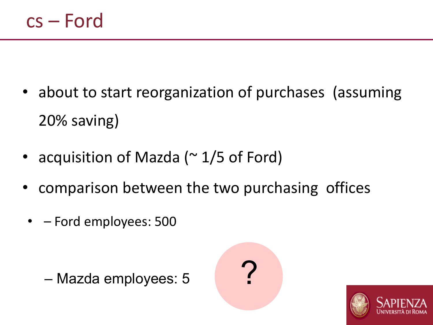- about to start reorganization of purchases (assuming 20% saving)
- acquisition of Mazda (~1/5 of Ford)
- comparison between the two purchasing offices
	- – Ford employees: 500





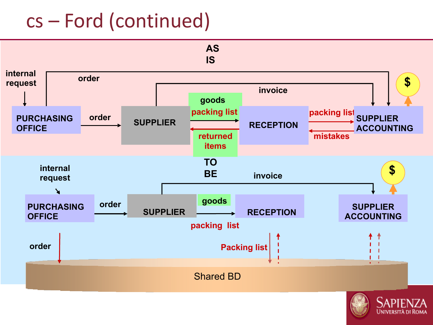## cs – Ford (continued)



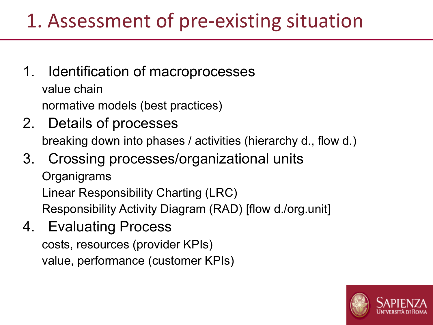### 1. Assessment of pre-existing situation

- 1. Identification of macroprocesses value chain normative models (best practices)
- 2. Details of processes breaking down into phases / activities (hierarchy d., flow d.)
- 3. Crossing processes/organizational units **Organigrams** Linear Responsibility Charting (LRC) Responsibility Activity Diagram (RAD) [flow d./org.unit]
- 4. Evaluating Process

costs, resources (provider KPIs) value, performance (customer KPIs)

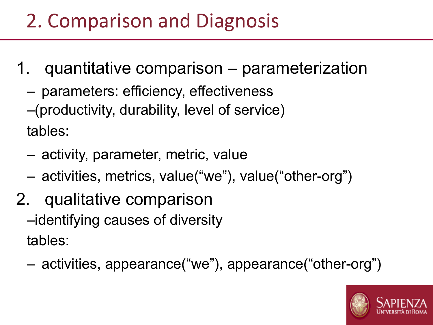## 2. Comparison and Diagnosis

- 1. quantitative comparison parameterization
	- parameters: efficiency, effectiveness
	- –(productivity, durability, level of service)

tables:

- activity, parameter, metric, value
- activities, metrics, value("we"), value("other-org")
- 2. qualitative comparison
	- –identifying causes of diversity tables:
	- activities, appearance("we"), appearance("other-org")

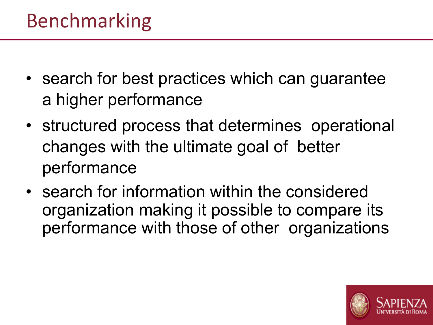- search for best practices which can guarantee a higher performance
- structured process that determines operational changes with the ultimate goal of better performance
- search for information within the considered organization making it possible to compare its performance with those of other organizations

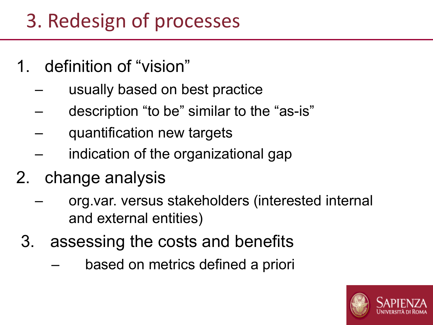## 3. Redesign of processes

- 1. definition of "vision"
	- usually based on best practice
	- description "to be" similar to the "as-is"
	- quantification new targets
	- indication of the organizational gap
- 2. change analysis
	- org.var. versus stakeholders (interested internal and external entities)
	- 3. assessing the costs and benefits
		- based on metrics defined a priori

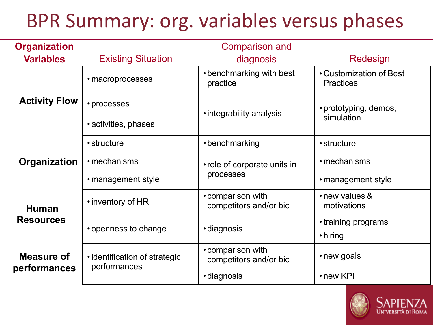## BPR Summary: org. variables versus phases

| <b>Organization</b>              |                                               | <b>Comparison and</b>                       |                                             |  |
|----------------------------------|-----------------------------------------------|---------------------------------------------|---------------------------------------------|--|
| <b>Variables</b>                 | <b>Existing Situation</b>                     | diagnosis                                   | Redesign                                    |  |
| <b>Activity Flow</b>             | • macroprocesses                              | • benchmarking with best<br>practice        | • Customization of Best<br><b>Practices</b> |  |
|                                  | • processes                                   | • integrability analysis                    | • prototyping, demos,                       |  |
|                                  | • activities, phases                          |                                             | simulation                                  |  |
|                                  | • structure                                   | • benchmarking                              | • structure                                 |  |
| Organization                     | • mechanisms                                  | • role of corporate units in                | • mechanisms                                |  |
|                                  | • management style                            | processes                                   | • management style                          |  |
| <b>Human</b><br><b>Resources</b> | • inventory of HR                             | • comparison with<br>competitors and/or bic | • new values &<br>motivations               |  |
|                                  | • openness to change                          | · diagnosis                                 | • training programs<br>• hiring             |  |
| Measure of<br>performances       | • identification of strategic<br>performances | • comparison with<br>competitors and/or bic | • new goals                                 |  |
|                                  |                                               | • diagnosis                                 | $\cdot$ new KPI                             |  |

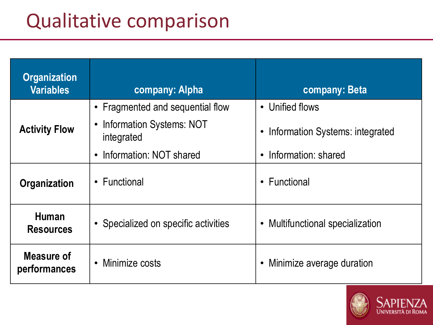## Qualitative comparison

| <b>Organization</b><br><b>Variables</b>                                  | company: Alpha                                      | company: Beta                                |  |
|--------------------------------------------------------------------------|-----------------------------------------------------|----------------------------------------------|--|
|                                                                          | • Fragmented and sequential flow                    | • Unified flows                              |  |
| <b>Activity Flow</b>                                                     | Information Systems: NOT<br>$\bullet$<br>integrated | Information Systems: integrated<br>$\bullet$ |  |
|                                                                          | Information: NOT shared<br>$\bullet$                | Information: shared<br>$\bullet$             |  |
| Organization                                                             | • Functional                                        | • Functional                                 |  |
| <b>Human</b><br>• Specialized on specific activities<br><b>Resources</b> |                                                     | • Multifunctional specialization             |  |
| Measure of<br>performances                                               | Minimize costs<br>$\bullet$                         | Minimize average duration<br>$\bullet$       |  |

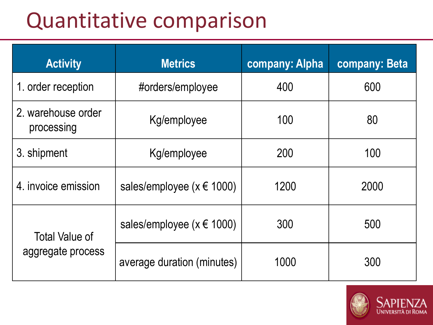# Quantitative comparison

| <b>Activity</b>                  | <b>Metrics</b>                     | company: Alpha | company: Beta |
|----------------------------------|------------------------------------|----------------|---------------|
| 1. order reception               | #orders/employee                   | 400            | 600           |
| 2. warehouse order<br>processing | Kg/employee                        | 100            | 80            |
| 3. shipment<br>Kg/employee       |                                    | 200            | 100           |
| 4. invoice emission              | sales/employee ( $x \notin 1000$ ) | 1200           | 2000          |
| <b>Total Value of</b>            | sales/employee ( $x \notin 1000$ ) | 300            | 500           |
| aggregate process                | average duration (minutes)         | 1000           | 300           |

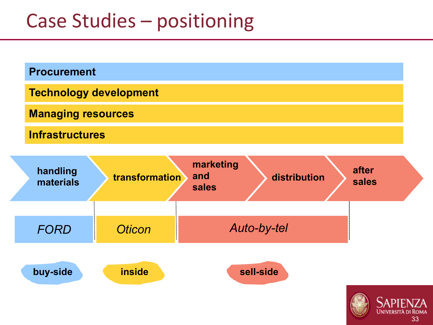### Case Studies – positioning



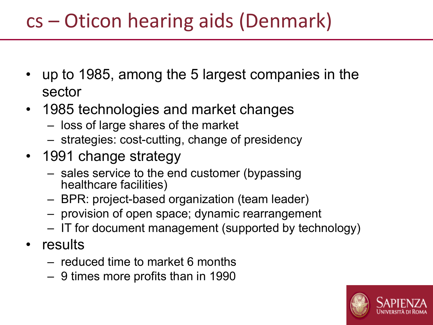## cs – Oticon hearing aids (Denmark)

- up to 1985, among the 5 largest companies in the sector
- 1985 technologies and market changes
	- loss of large shares of the market
	- strategies: cost-cutting, change of presidency
- 1991 change strategy
	- sales service to the end customer (bypassing healthcare facilities)
	- BPR: project-based organization (team leader)
	- provision of open space; dynamic rearrangement
	- IT for document management (supported by technology)
- results
	- reduced time to market 6 months
	- 9 times more profits than in 1990

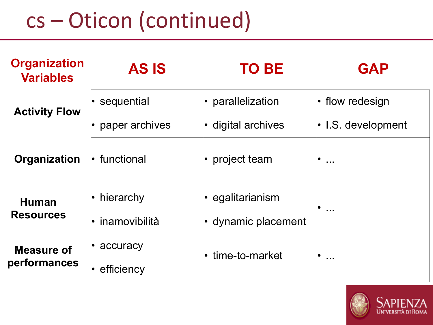# cs – Oticon (continued)

| <b>Organization</b><br><b>Variables</b> | <b>AS IS</b>      | <b>TO BE</b>              | <b>GAP</b>               |  |
|-----------------------------------------|-------------------|---------------------------|--------------------------|--|
| <b>Activity Flow</b>                    | sequential        | $\cdot$ parallelization   | $\cdot$ flow redesign    |  |
|                                         | paper archives    | $\cdot$ digital archives  | $\cdot$ I.S. development |  |
| Organization                            | l• functional     | project team              | $\sim 10$                |  |
| <b>Human</b><br><b>Resources</b>        | $\cdot$ hierarchy | $\cdot$ egalitarianism    | $\cdots$                 |  |
|                                         | inamovibilità     | $\cdot$ dynamic placement |                          |  |
| <b>Measure of</b><br>performances       | accuracy          | $\cdot$ time-to-market    | $\sim$ $\sim$            |  |
|                                         | efficiency        |                           |                          |  |